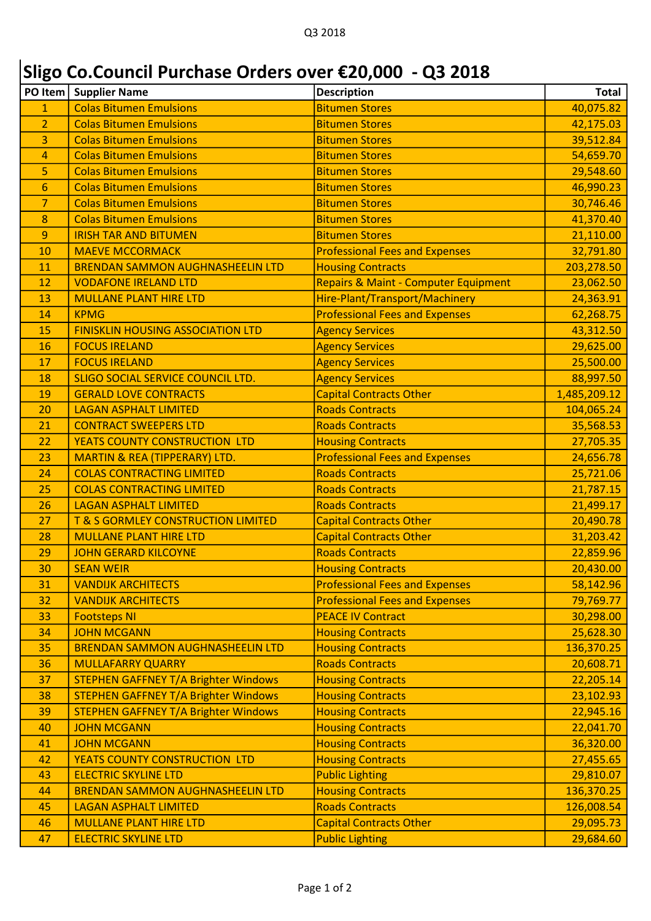## Sligo Co.Council Purchase Orders over €20,000 - Q3 2018

| PO Item        | <b>Supplier Name</b>                        | <b>Description</b>                              | Total        |
|----------------|---------------------------------------------|-------------------------------------------------|--------------|
| $\mathbf{1}$   | <b>Colas Bitumen Emulsions</b>              | <b>Bitumen Stores</b>                           | 40,075.82    |
| $\overline{2}$ | <b>Colas Bitumen Emulsions</b>              | <b>Bitumen Stores</b>                           | 42,175.03    |
| 3              | <b>Colas Bitumen Emulsions</b>              | <b>Bitumen Stores</b>                           | 39,512.84    |
| 4              | <b>Colas Bitumen Emulsions</b>              | <b>Bitumen Stores</b>                           | 54,659.70    |
| 5              | <b>Colas Bitumen Emulsions</b>              | <b>Bitumen Stores</b>                           | 29,548.60    |
| 6              | <b>Colas Bitumen Emulsions</b>              | <b>Bitumen Stores</b>                           | 46,990.23    |
| $\overline{7}$ | <b>Colas Bitumen Emulsions</b>              | <b>Bitumen Stores</b>                           | 30,746.46    |
| 8              | <b>Colas Bitumen Emulsions</b>              | <b>Bitumen Stores</b>                           | 41,370.40    |
| 9              | <b>IRISH TAR AND BITUMEN</b>                | <b>Bitumen Stores</b>                           | 21,110.00    |
| 10             | <b>MAEVE MCCORMACK</b>                      | <b>Professional Fees and Expenses</b>           | 32,791.80    |
| 11             | <b>BRENDAN SAMMON AUGHNASHEELIN LTD</b>     | <b>Housing Contracts</b>                        | 203,278.50   |
| 12             | <b>VODAFONE IRELAND LTD</b>                 | <b>Repairs &amp; Maint - Computer Equipment</b> | 23,062.50    |
| 13             | <b>MULLANE PLANT HIRE LTD</b>               | Hire-Plant/Transport/Machinery                  | 24,363.91    |
| 14             | <b>KPMG</b>                                 | <b>Professional Fees and Expenses</b>           | 62,268.75    |
| 15             | <b>FINISKLIN HOUSING ASSOCIATION LTD</b>    | <b>Agency Services</b>                          | 43,312.50    |
| 16             | <b>FOCUS IRELAND</b>                        | <b>Agency Services</b>                          | 29,625.00    |
| 17             | <b>FOCUS IRELAND</b>                        | <b>Agency Services</b>                          | 25,500.00    |
| 18             | <b>SLIGO SOCIAL SERVICE COUNCIL LTD.</b>    | <b>Agency Services</b>                          | 88,997.50    |
| 19             | <b>GERALD LOVE CONTRACTS</b>                | <b>Capital Contracts Other</b>                  | 1,485,209.12 |
| 20             | <b>LAGAN ASPHALT LIMITED</b>                | <b>Roads Contracts</b>                          | 104,065.24   |
| 21             | <b>CONTRACT SWEEPERS LTD</b>                | <b>Roads Contracts</b>                          | 35,568.53    |
| 22             | YEATS COUNTY CONSTRUCTION LTD               | <b>Housing Contracts</b>                        | 27,705.35    |
| 23             | MARTIN & REA (TIPPERARY) LTD.               | <b>Professional Fees and Expenses</b>           | 24,656.78    |
| 24             | <b>COLAS CONTRACTING LIMITED</b>            | <b>Roads Contracts</b>                          | 25,721.06    |
| 25             | <b>COLAS CONTRACTING LIMITED</b>            | <b>Roads Contracts</b>                          | 21,787.15    |
| 26             | <b>LAGAN ASPHALT LIMITED</b>                | <b>Roads Contracts</b>                          | 21,499.17    |
| 27             | T & S GORMLEY CONSTRUCTION LIMITED          | <b>Capital Contracts Other</b>                  | 20,490.78    |
| 28             | <b>MULLANE PLANT HIRE LTD</b>               | <b>Capital Contracts Other</b>                  | 31,203.42    |
| 29             | <b>JOHN GERARD KILCOYNE</b>                 | <b>Roads Contracts</b>                          | 22,859.96    |
| 30             | <b>SEAN WEIR</b>                            | <b>Housing Contracts</b>                        | 20,430.00    |
| 31             | <b>VANDIJK ARCHITECTS</b>                   | <b>Professional Fees and Expenses</b>           | 58,142.96    |
| 32             | <b>VANDIJK ARCHITECTS</b>                   | <b>Professional Fees and Expenses</b>           | 79,769.77    |
| 33             | <b>Footsteps NI</b>                         | <b>PEACE IV Contract</b>                        | 30,298.00    |
| 34             | <b>JOHN MCGANN</b>                          | <b>Housing Contracts</b>                        | 25,628.30    |
| 35             | <b>BRENDAN SAMMON AUGHNASHEELIN LTD</b>     | <b>Housing Contracts</b>                        | 136,370.25   |
| 36             | <b>MULLAFARRY QUARRY</b>                    | <b>Roads Contracts</b>                          | 20,608.71    |
| 37             | <b>STEPHEN GAFFNEY T/A Brighter Windows</b> | <b>Housing Contracts</b>                        | 22,205.14    |
| 38             | <b>STEPHEN GAFFNEY T/A Brighter Windows</b> | <b>Housing Contracts</b>                        | 23,102.93    |
| 39             | <b>STEPHEN GAFFNEY T/A Brighter Windows</b> | <b>Housing Contracts</b>                        | 22,945.16    |
| 40             | <b>JOHN MCGANN</b>                          | <b>Housing Contracts</b>                        | 22,041.70    |
| 41             | <b>JOHN MCGANN</b>                          | <b>Housing Contracts</b>                        | 36,320.00    |
| 42             | YEATS COUNTY CONSTRUCTION LTD               | <b>Housing Contracts</b>                        | 27,455.65    |
| 43             | <b>ELECTRIC SKYLINE LTD</b>                 | <b>Public Lighting</b>                          | 29,810.07    |
| 44             | <b>BRENDAN SAMMON AUGHNASHEELIN LTD</b>     | <b>Housing Contracts</b>                        | 136,370.25   |
| 45             | <b>LAGAN ASPHALT LIMITED</b>                | <b>Roads Contracts</b>                          | 126,008.54   |
| 46             | <b>MULLANE PLANT HIRE LTD</b>               | <b>Capital Contracts Other</b>                  | 29,095.73    |
| 47             | <b>ELECTRIC SKYLINE LTD</b>                 | <b>Public Lighting</b>                          | 29,684.60    |
|                |                                             |                                                 |              |